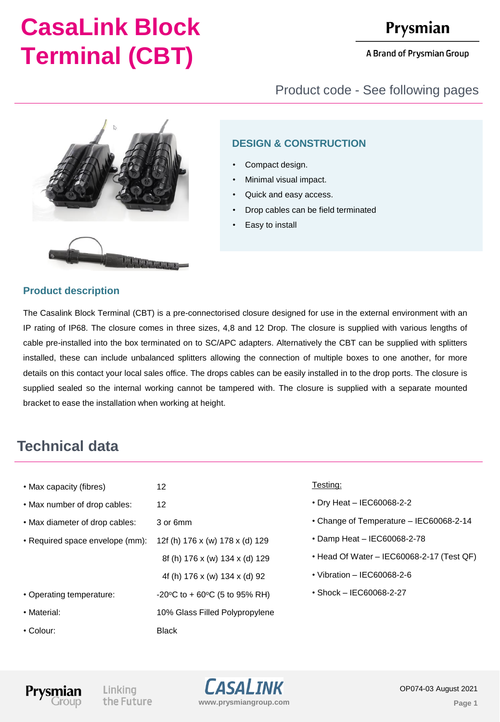## Prysmian

A Brand of Prysmian Group

Product code - See following pages



### **DESIGN & CONSTRUCTION**

- Compact design.
- Minimal visual impact.
- Quick and easy access.
- Drop cables can be field terminated
- Easy to install

#### **Product description**

The Casalink Block Terminal (CBT) is a pre-connectorised closure designed for use in the external environment with an IP rating of IP68. The closure comes in three sizes, 4,8 and 12 Drop. The closure is supplied with various lengths of cable pre-installed into the box terminated on to SC/APC adapters. Alternatively the CBT can be supplied with splitters installed, these can include unbalanced splitters allowing the connection of multiple boxes to one another, for more details on this contact your local sales office. The drops cables can be easily installed in to the drop ports. The closure is supplied sealed so the internal working cannot be tampered with. The closure is supplied with a separate mounted bracket to ease the installation when working at height.

## **Technical data**

| • Max capacity (fibres)         | 12                                                 | Testing:                                  |
|---------------------------------|----------------------------------------------------|-------------------------------------------|
| . Max number of drop cables:    | 12                                                 | • Dry Heat - IEC60068-2-2                 |
| • Max diameter of drop cables:  | 3 or 6mm                                           | • Change of Temperature – IEC60068-2-14   |
| • Required space envelope (mm): | 12f (h) 176 x (w) 178 x (d) 129                    | $\cdot$ Damp Heat - IEC60068-2-78         |
|                                 | 8f (h) 176 x (w) 134 x (d) 129                     | • Head Of Water - IEC60068-2-17 (Test QF) |
|                                 | 4f (h) 176 x (w) 134 x (d) 92                      | • Vibration $-$ IEC60068-2-6              |
| • Operating temperature:        | $-20^{\circ}$ C to + 60 $^{\circ}$ C (5 to 95% RH) | • Shock - IEC60068-2-27                   |
| • Material:                     | 10% Glass Filled Polypropylene                     |                                           |
| $\cdot$ Colour:                 | <b>Black</b>                                       |                                           |

Linking the Future

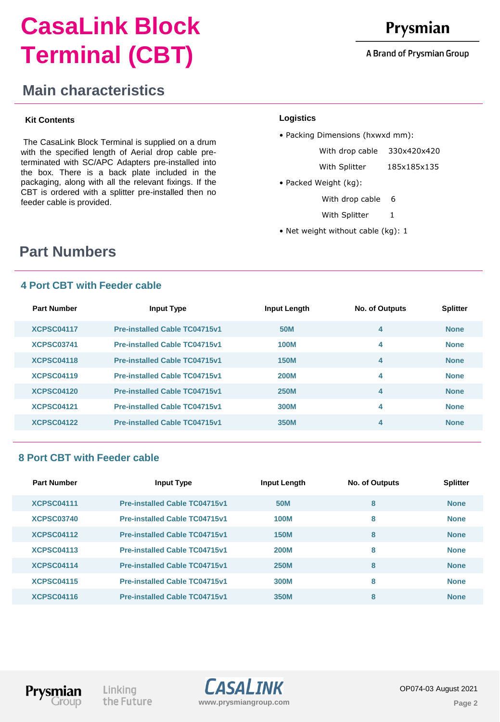#### A Brand of Prysmian Group

### **Main characteristics**

#### **Kit Contents Logistics**

The CasaLink Block Terminal is supplied on a drum with the specified length of Aerial drop cable preterminated with SC/APC Adapters pre-installed into the box. There is a back plate included in the packaging, along with all the relevant fixings. If the CBT is ordered with a splitter pre-installed then no feeder cable is provided.

• Packing Dimensions (hxwxd mm):

With drop cable 330x420x420

- With Splitter 185x185x135
- Packed Weight (kg):
	- With drop cable 6
	- With Splitter 1
- Net weight without cable (kg): 1

## **Part Numbers**

#### **4 Port CBT with Feeder cable**

| <b>Part Number</b> | <b>Input Type</b>                    | Input Length | No. of Outputs | <b>Splitter</b> |
|--------------------|--------------------------------------|--------------|----------------|-----------------|
| <b>XCPSC04117</b>  | <b>Pre-installed Cable TC04715v1</b> | <b>50M</b>   | 4              | <b>None</b>     |
| <b>XCPSC03741</b>  | <b>Pre-installed Cable TC04715v1</b> | <b>100M</b>  | 4              | <b>None</b>     |
| <b>XCPSC04118</b>  | <b>Pre-installed Cable TC04715v1</b> | <b>150M</b>  | 4              | <b>None</b>     |
| <b>XCPSC04119</b>  | <b>Pre-installed Cable TC04715v1</b> | <b>200M</b>  | 4              | <b>None</b>     |
| <b>XCPSC04120</b>  | <b>Pre-installed Cable TC04715v1</b> | <b>250M</b>  | 4              | <b>None</b>     |
| <b>XCPSC04121</b>  | <b>Pre-installed Cable TC04715v1</b> | 300M         | 4              | <b>None</b>     |
| <b>XCPSC04122</b>  | <b>Pre-installed Cable TC04715v1</b> | 350M         | 4              | <b>None</b>     |
|                    |                                      |              |                |                 |

#### **8 Port CBT with Feeder cable**

| <b>Part Number</b> | <b>Input Type</b>                    | Input Length | No. of Outputs | <b>Splitter</b> |
|--------------------|--------------------------------------|--------------|----------------|-----------------|
| <b>XCPSC04111</b>  | <b>Pre-installed Cable TC04715v1</b> | <b>50M</b>   | 8              | <b>None</b>     |
| <b>XCPSC03740</b>  | <b>Pre-installed Cable TC04715v1</b> | <b>100M</b>  | 8              | <b>None</b>     |
| <b>XCPSC04112</b>  | <b>Pre-installed Cable TC04715v1</b> | <b>150M</b>  | 8              | <b>None</b>     |
| <b>XCPSC04113</b>  | <b>Pre-installed Cable TC04715v1</b> | <b>200M</b>  | 8              | <b>None</b>     |
| <b>XCPSC04114</b>  | <b>Pre-installed Cable TC04715v1</b> | <b>250M</b>  | 8              | <b>None</b>     |
| <b>XCPSC04115</b>  | <b>Pre-installed Cable TC04715v1</b> | 300M         | 8              | <b>None</b>     |
| <b>XCPSC04116</b>  | <b>Pre-installed Cable TC04715v1</b> | 350M         | 8              | <b>None</b>     |

Prysmian Group

Linking the Future

**CASALINK www.prysmiangroup.com Page 2 Page 2**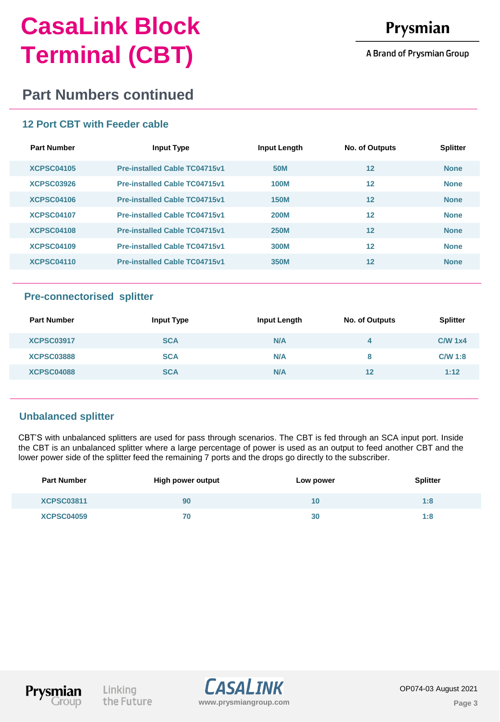A Brand of Prysmian Group

## **Part Numbers continued**

#### **12 Port CBT with Feeder cable**

| <b>Part Number</b> | <b>Input Type</b>                    | Input Length | No. of Outputs | <b>Splitter</b> |
|--------------------|--------------------------------------|--------------|----------------|-----------------|
| <b>XCPSC04105</b>  | <b>Pre-installed Cable TC04715v1</b> | <b>50M</b>   | 12             | <b>None</b>     |
| <b>XCPSC03926</b>  | <b>Pre-installed Cable TC04715v1</b> | <b>100M</b>  | 12             | <b>None</b>     |
| <b>XCPSC04106</b>  | <b>Pre-installed Cable TC04715v1</b> | <b>150M</b>  | 12             | <b>None</b>     |
| <b>XCPSC04107</b>  | <b>Pre-installed Cable TC04715v1</b> | <b>200M</b>  | 12             | <b>None</b>     |
| <b>XCPSC04108</b>  | <b>Pre-installed Cable TC04715v1</b> | <b>250M</b>  | 12             | <b>None</b>     |
| <b>XCPSC04109</b>  | <b>Pre-installed Cable TC04715v1</b> | 300M         | 12             | <b>None</b>     |
| <b>XCPSC04110</b>  | <b>Pre-installed Cable TC04715v1</b> | 350M         | 12             | <b>None</b>     |

#### **Pre-connectorised splitter**

| <b>Part Number</b> | <b>Input Type</b> | Input Length | No. of Outputs | <b>Splitter</b> |
|--------------------|-------------------|--------------|----------------|-----------------|
| <b>XCPSC03917</b>  | <b>SCA</b>        | N/A          | 4              | $C/W$ 1x4       |
| <b>XCPSC03888</b>  | <b>SCA</b>        | N/A          | 8              | CMM 1:8         |
| <b>XCPSC04088</b>  | <b>SCA</b>        | N/A          | 12             | 1:12            |
|                    |                   |              |                |                 |

#### **Unbalanced splitter**

CBT'S with unbalanced splitters are used for pass through scenarios. The CBT is fed through an SCA input port. Inside the CBT is an unbalanced splitter where a large percentage of power is used as an output to feed another CBT and the lower power side of the splitter feed the remaining 7 ports and the drops go directly to the subscriber.

| <b>Part Number</b> | High power output | Low power | <b>Splitter</b> |
|--------------------|-------------------|-----------|-----------------|
| <b>XCPSC03811</b>  | 90                | 10        | 1:8             |
| <b>XCPSC04059</b>  | 70                | 30        | 1:8             |



Linking the Future